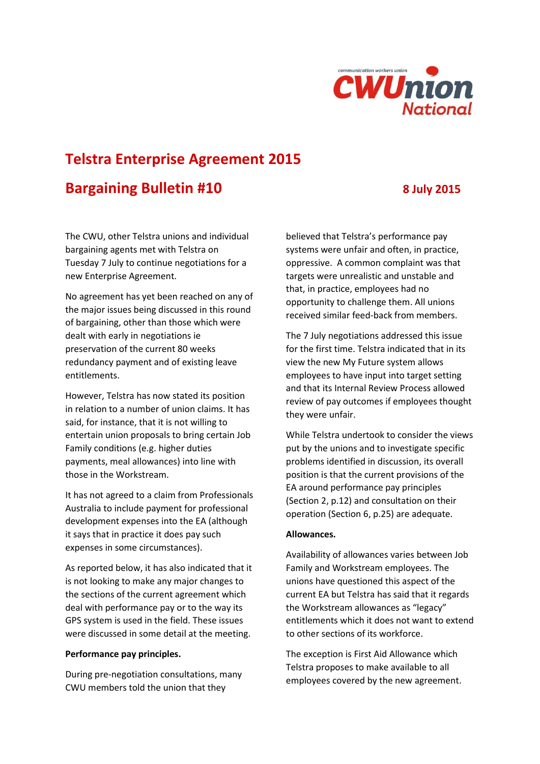

# **Telstra Enterprise Agreement 2015**

## **Bargaining Bulletin #10 8 July 2015**

The CWU, other Telstra unions and individual bargaining agents met with Telstra on Tuesday 7 July to continue negotiations for a new Enterprise Agreement.

No agreement has yet been reached on any of the major issues being discussed in this round of bargaining, other than those which were dealt with early in negotiations ie preservation of the current 80 weeks redundancy payment and of existing leave entitlements.

However, Telstra has now stated its position in relation to a number of union claims. It has said, for instance, that it is not willing to entertain union proposals to bring certain Job Family conditions (e.g. higher duties payments, meal allowances) into line with those in the Workstream.

It has not agreed to a claim from Professionals Australia to include payment for professional development expenses into the EA (although it says that in practice it does pay such expenses in some circumstances).

As reported below, it has also indicated that it is not looking to make any major changes to the sections of the current agreement which deal with performance pay or to the way its GPS system is used in the field. These issues were discussed in some detail at the meeting.

#### **Performance pay principles.**

During pre-negotiation consultations, many CWU members told the union that they

believed that Telstra's performance pay systems were unfair and often, in practice, oppressive. A common complaint was that targets were unrealistic and unstable and that, in practice, employees had no opportunity to challenge them. All unions received similar feed-back from members.

The 7 July negotiations addressed this issue for the first time. Telstra indicated that in its view the new My Future system allows employees to have input into target setting and that its Internal Review Process allowed review of pay outcomes if employees thought they were unfair.

While Telstra undertook to consider the views put by the unions and to investigate specific problems identified in discussion, its overall position is that the current provisions of the EA around performance pay principles (Section 2, p.12) and consultation on their operation (Section 6, p.25) are adequate.

#### **Allowances.**

Availability of allowances varies between Job Family and Workstream employees. The unions have questioned this aspect of the current EA but Telstra has said that it regards the Workstream allowances as "legacy" entitlements which it does not want to extend to other sections of its workforce.

The exception is First Aid Allowance which Telstra proposes to make available to all employees covered by the new agreement.